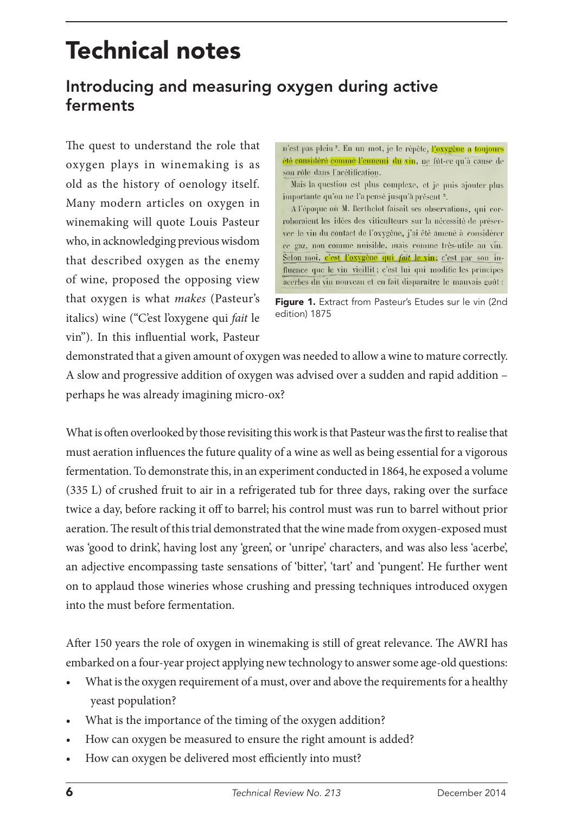# Technical notes

## Introducing and measuring oxygen during active ferments

The quest to understand the role that oxygen plays in winemaking is as old as the history of oenology itself. Many modern articles on oxygen in winemaking will quote Louis Pasteur who, in acknowledging previous wisdom that described oxygen as the enemy of wine, proposed the opposing view that oxygen is what *makes* (Pasteur's italics) wine ("C'est l'oxygene qui *fait* le vin"). In this influential work, Pasteur

n'est pas plein<sup>2</sup>. En un mot, je le répète, l'oxygène a toujours été considéré comme l'ennemi du vin, ne fût-ce qu'à cause de son rôle dans l'acétification.

Mais la question est plus complexe, et je puis ajouter plus importante qu'on ue l'a pensé jusqu'à présent<sup>5</sup>.

A l'époque où M. Berthelot faisait ses observations, qui corroboraient les idées des viticulteurs sur la nécessité de préserver le vin du contact de l'oxygène, j'ai été amené à considérer ce gaz, non comme nuisible, mais comme très-utile au vin. Selon moi, c'est l'oxygène qui fait le vin; c'est par son influence que le vin vieillit; c'est lui qui modifie les principes acerbes du vin nouveau et en fait disparaître le mauvais goût :

Figure 1. Extract from Pasteur's Etudes sur le vin (2nd edition) 1875

demonstrated that a given amount of oxygen was needed to allow a wine to mature correctly. A slow and progressive addition of oxygen was advised over a sudden and rapid addition – perhaps he was already imagining micro-ox?

What is often overlooked by those revisiting this work is that Pasteur was the first to realise that must aeration influences the future quality of a wine as well as being essential for a vigorous fermentation. To demonstrate this, in an experiment conducted in 1864, he exposed a volume (335 L) of crushed fruit to air in a refrigerated tub for three days, raking over the surface twice a day, before racking it off to barrel; his control must was run to barrel without prior aeration. The result of this trial demonstrated that the wine made from oxygen-exposed must was 'good to drink', having lost any 'green', or 'unripe' characters, and was also less 'acerbe', an adjective encompassing taste sensations of 'bitter', 'tart' and 'pungent'. He further went on to applaud those wineries whose crushing and pressing techniques introduced oxygen into the must before fermentation.

After 150 years the role of oxygen in winemaking is still of great relevance. The AWRI has embarked on a four-year project applying new technology to answer some age-old questions:

- What is the oxygen requirement of a must, over and above the requirements for a healthy yeast population?
- What is the importance of the timing of the oxygen addition?
- How can oxygen be measured to ensure the right amount is added?
- How can oxygen be delivered most efficiently into must?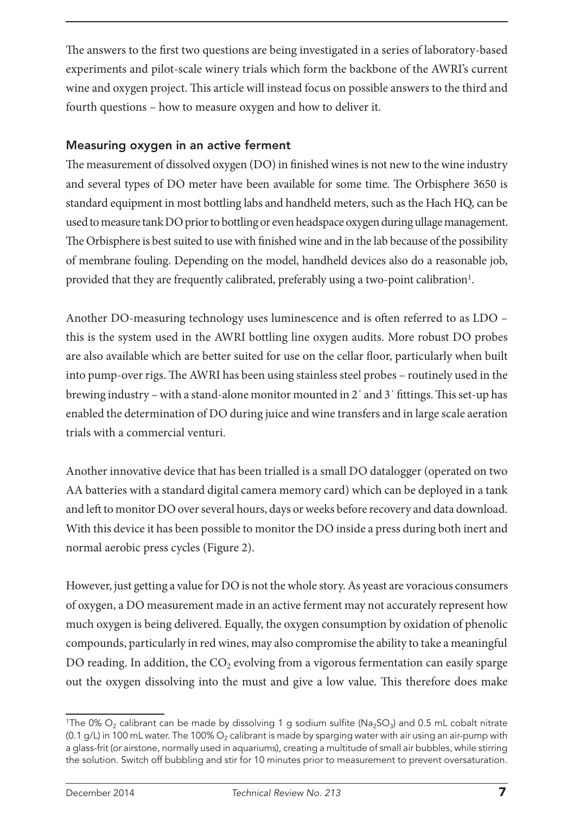The answers to the first two questions are being investigated in a series of laboratory-based experiments and pilot-scale winery trials which form the backbone of the AWRI's current wine and oxygen project. This article will instead focus on possible answers to the third and fourth questions – how to measure oxygen and how to deliver it.

#### Measuring oxygen in an active ferment

The measurement of dissolved oxygen (DO) in finished wines is not new to the wine industry and several types of DO meter have been available for some time. The Orbisphere 3650 is standard equipment in most bottling labs and handheld meters, such as the Hach HQ, can be used to measure tank DO prior to bottling or even headspace oxygen during ullage management. The Orbisphere is best suited to use with finished wine and in the lab because of the possibility of membrane fouling. Depending on the model, handheld devices also do a reasonable job, provided that they are frequently calibrated, preferably using a two-point calibration<sup>1</sup>.

Another DO-measuring technology uses luminescence and is often referred to as LDO – this is the system used in the AWRI bottling line oxygen audits. More robust DO probes are also available which are better suited for use on the cellar floor, particularly when built into pump-over rigs. The AWRI has been using stainless steel probes – routinely used in the brewing industry – with a stand-alone monitor mounted in 2΄ and 3΄ fittings. This set-up has enabled the determination of DO during juice and wine transfers and in large scale aeration trials with a commercial venturi.

Another innovative device that has been trialled is a small DO datalogger (operated on two AA batteries with a standard digital camera memory card) which can be deployed in a tank and left to monitor DO over several hours, days or weeks before recovery and data download. With this device it has been possible to monitor the DO inside a press during both inert and normal aerobic press cycles (Figure 2).

However, just getting a value for DO is not the whole story. As yeast are voracious consumers of oxygen, a DO measurement made in an active ferment may not accurately represent how much oxygen is being delivered. Equally, the oxygen consumption by oxidation of phenolic compounds, particularly in red wines, may also compromise the ability to take a meaningful DO reading. In addition, the  $CO<sub>2</sub>$  evolving from a vigorous fermentation can easily sparge out the oxygen dissolving into the must and give a low value. This therefore does make

<sup>&</sup>lt;sup>1</sup>The 0% O<sub>2</sub> calibrant can be made by dissolving 1 g sodium sulfite (Na<sub>2</sub>SO<sub>3</sub>) and 0.5 mL cobalt nitrate (0.1 g/L) in 100 mL water. The 100%  $O_2$  calibrant is made by sparging water with air using an air-pump with a glass-frit (or airstone, normally used in aquariums), creating a multitude of small air bubbles, while stirring the solution. Switch off bubbling and stir for 10 minutes prior to measurement to prevent oversaturation.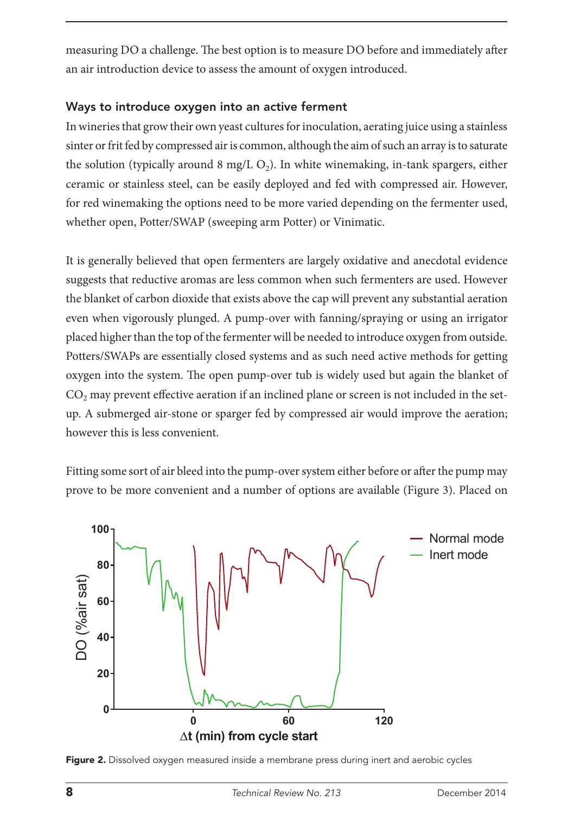measuring DO a challenge. The best option is to measure DO before and immediately after an air introduction device to assess the amount of oxygen introduced.

### Ways to introduce oxygen into an active ferment

In wineries that grow their own yeast cultures for inoculation, aerating juice using a stainless sinter or frit fed by compressed air is common, although the aim of such an array is to saturate the solution (typically around 8 mg/L  $O<sub>2</sub>$ ). In white winemaking, in-tank spargers, either ceramic or stainless steel, can be easily deployed and fed with compressed air. However, for red winemaking the options need to be more varied depending on the fermenter used, whether open, Potter/SWAP (sweeping arm Potter) or Vinimatic.

It is generally believed that open fermenters are largely oxidative and anecdotal evidence suggests that reductive aromas are less common when such fermenters are used. However the blanket of carbon dioxide that exists above the cap will prevent any substantial aeration even when vigorously plunged. A pump-over with fanning/spraying or using an irrigator placed higher than the top of the fermenter will be needed to introduce oxygen from outside. Potters/SWAPs are essentially closed systems and as such need active methods for getting oxygen into the system. The open pump-over tub is widely used but again the blanket of CO<sub>2</sub> may prevent effective aeration if an inclined plane or screen is not included in the setup. A submerged air-stone or sparger fed by compressed air would improve the aeration; however this is less convenient.

Fitting some sort of air bleed into the pump-over system either before or after the pump may prove to be more convenient and a number of options are available (Figure 3). Placed on



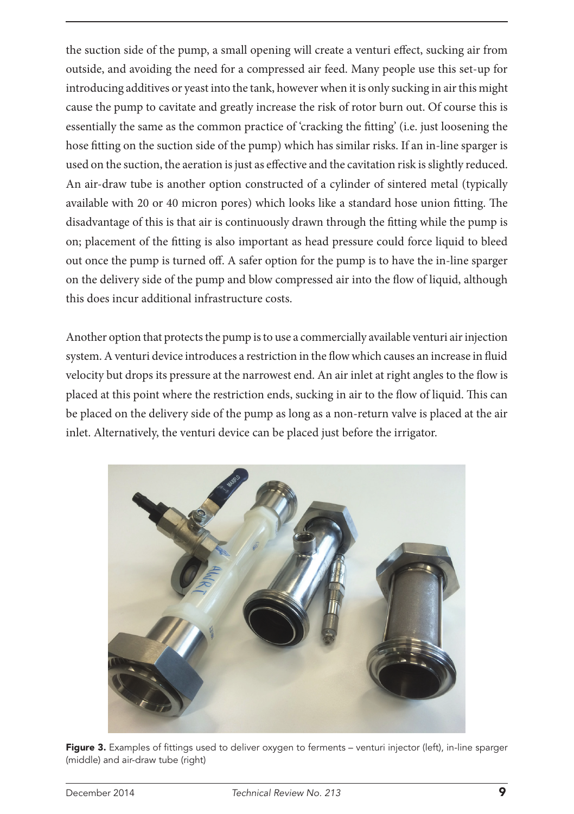the suction side of the pump, a small opening will create a venturi effect, sucking air from outside, and avoiding the need for a compressed air feed. Many people use this set-up for introducing additives or yeast into the tank, however when it is only sucking in air this might cause the pump to cavitate and greatly increase the risk of rotor burn out. Of course this is essentially the same as the common practice of 'cracking the fitting' (i.e. just loosening the hose fitting on the suction side of the pump) which has similar risks. If an in-line sparger is used on the suction, the aeration is just as effective and the cavitation risk is slightly reduced. An air-draw tube is another option constructed of a cylinder of sintered metal (typically available with 20 or 40 micron pores) which looks like a standard hose union fitting. The disadvantage of this is that air is continuously drawn through the fitting while the pump is on; placement of the fitting is also important as head pressure could force liquid to bleed out once the pump is turned off. A safer option for the pump is to have the in-line sparger on the delivery side of the pump and blow compressed air into the flow of liquid, although this does incur additional infrastructure costs.

Another option that protects the pump is to use a commercially available venturi air injection system. A venturi device introduces a restriction in the flow which causes an increase in fluid velocity but drops its pressure at the narrowest end. An air inlet at right angles to the flow is placed at this point where the restriction ends, sucking in air to the flow of liquid. This can be placed on the delivery side of the pump as long as a non-return valve is placed at the air inlet. Alternatively, the venturi device can be placed just before the irrigator.



Figure 3. Examples of fittings used to deliver oxygen to ferments – venturi injector (left), in-line sparger (middle) and air-draw tube (right)